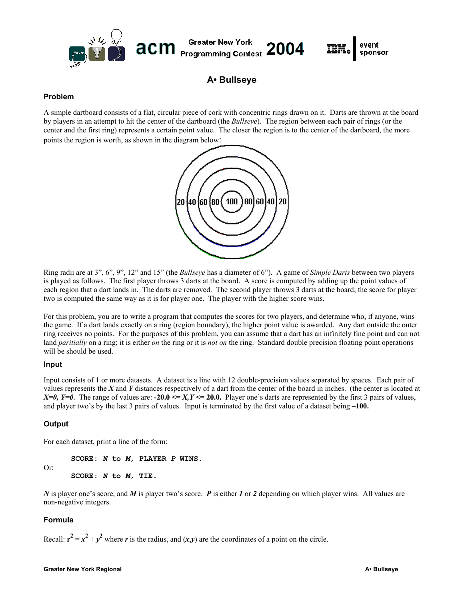

**A• Bullseye** 

## **Problem**

A simple dartboard consists of a flat, circular piece of cork with concentric rings drawn on it. Darts are thrown at the board by players in an attempt to hit the center of the dartboard (the *Bullseye*). The region between each pair of rings (or the center and the first ring) represents a certain point value. The closer the region is to the center of the dartboard, the more points the region is worth, as shown in the diagram below:



Ring radii are at 3", 6", 9", 12" and 15" (the *Bullseye* has a diameter of 6"). A game of *Simple Darts* between two players is played as follows. The first player throws 3 darts at the board. A score is computed by adding up the point values of each region that a dart lands in. The darts are removed. The second player throws 3 darts at the board; the score for player two is computed the same way as it is for player one. The player with the higher score wins.

For this problem, you are to write a program that computes the scores for two players, and determine who, if anyone, wins the game. If a dart lands exactly on a ring (region boundary), the higher point value is awarded. Any dart outside the outer ring receives no points. For the purposes of this problem, you can assume that a dart has an infinitely fine point and can not land *paritially* on a ring; it is either *on* the ring or it is *not on* the ring. Standard double precision floating point operations will be should be used.

#### **Input**

Input consists of 1 or more datasets. A dataset is a line with 12 double-precision values separated by spaces. Each pair of values represents the *X* and *Y* distances respectively of a dart from the center of the board in inches. (the center is located at  $X=0$ ,  $Y=0$ . The range of values are: **-20.0**  $\leq X, Y \leq 20.0$ . Player one's darts are represented by the first 3 pairs of values, and player two's by the last 3 pairs of values. Input is terminated by the first value of a dataset being **–100.**

## **Output**

Or:

For each dataset, print a line of the form:

**SCORE:** *N* **to** *M,* **PLAYER** *P* **WINS. SCORE:** *N* **to** *M,* **TIE.** 

*N* is player one's score, and *M* is player two's score. *P* is either *1* or *2* depending on which player wins. All values are non-negative integers.

## **Formula**

Recall:  $r^2 = x^2 + y^2$  where *r* is the radius, and  $(x,y)$  are the coordinates of a point on the circle.